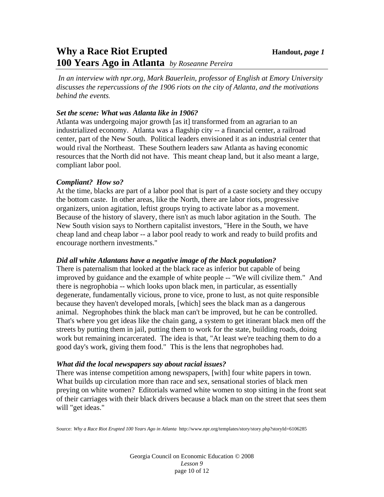## **Why a Race Riot Erupted Handout,** *page 1* **100 Years Ago in Atlanta** *by Roseanne Pereira*

*In an interview with npr.org, Mark Bauerlein, professor of English at Emory University discusses the repercussions of the 1906 riots on the city of Atlanta, and the motivations behind the events.*

### *Set the scene: What was Atlanta like in 1906?*

Atlanta was undergoing major growth [as it] transformed from an agrarian to an industrialized economy. Atlanta was a flagship city -- a financial center, a railroad center, part of the New South. Political leaders envisioned it as an industrial center that would rival the Northeast. These Southern leaders saw Atlanta as having economic resources that the North did not have. This meant cheap land, but it also meant a large, compliant labor pool.

## *Compliant? How so?*

At the time, blacks are part of a labor pool that is part of a caste society and they occupy the bottom caste. In other areas, like the North, there are labor riots, progressive organizers, union agitation, leftist groups trying to activate labor as a movement. Because of the history of slavery, there isn't as much labor agitation in the South. The New South vision says to Northern capitalist investors, "Here in the South, we have cheap land and cheap labor -- a labor pool ready to work and ready to build profits and encourage northern investments."

## *Did all white Atlantans have a negative image of the black population?*

There is paternalism that looked at the black race as inferior but capable of being improved by guidance and the example of white people -- "We will civilize them." And there is negrophobia -- which looks upon black men, in particular, as essentially degenerate, fundamentally vicious, prone to vice, prone to lust, as not quite responsible because they haven't developed morals, [which] sees the black man as a dangerous animal. Negrophobes think the black man can't be improved, but he can be controlled. That's where you get ideas like the chain gang, a system to get itinerant black men off the streets by putting them in jail, putting them to work for the state, building roads, doing work but remaining incarcerated. The idea is that, "At least we're teaching them to do a good day's work, giving them food." This is the lens that negrophobes had.

#### *What did the local newspapers say about racial issues?*

There was intense competition among newspapers, [with] four white papers in town. What builds up circulation more than race and sex, sensational stories of black men preying on white women? Editorials warned white women to stop sitting in the front seat of their carriages with their black drivers because a black man on the street that sees them will "get ideas."

Source: *Why a Race Riot Erupted 100 Years Ago in Atlanta* http://www.npr.org/templates/story/story.php?storyId=6106285

Georgia Council on Economic Education © 2008 *Lesson 9*  page 10 of 12